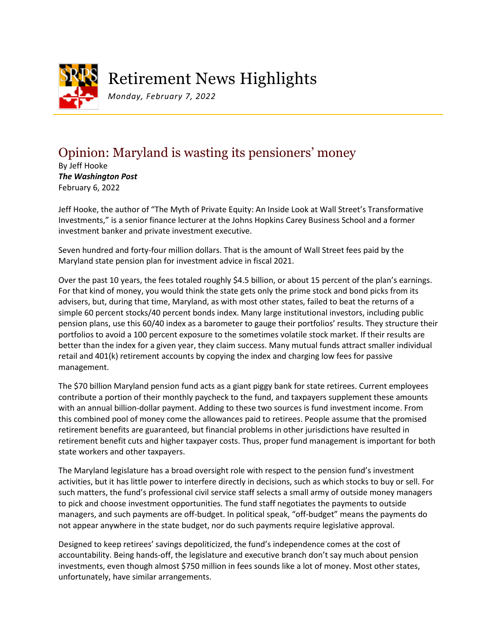

## Retirement News Highlights

*Monday, February 7, 2022*

## Opinion: Maryland is wasting its pensioners' money

By Jeff Hooke *The Washington Post* February 6, 2022

Jeff Hooke, the author of "The Myth of Private Equity: An Inside Look at Wall Street's Transformative Investments," is a senior finance lecturer at the Johns Hopkins Carey Business School and a former investment banker and private investment executive.

Seven hundred and forty-four million dollars. That is the amount of Wall Street fees paid by the Maryland state pension plan for investment advice in fiscal 2021.

Over the past 10 years, the fees totaled roughly \$4.5 billion, or about 15 percent of the plan's earnings. For that kind of money, you would think the state gets only the prime stock and bond picks from its advisers, but, during that time, Maryland, as with most other states, failed to beat the returns of a simple 60 percent stocks/40 percent bonds index. Many large institutional investors, including public pension plans, use this 60/40 index as a barometer to gauge their portfolios' results. They structure their portfolios to avoid a 100 percent exposure to the sometimes volatile stock market. If their results are better than the index for a given year, they claim success. Many mutual funds attract smaller individual retail and 401(k) retirement accounts by copying the index and charging low fees for passive management.

The \$70 billion Maryland pension fund acts as a giant piggy bank for state retirees. Current employees contribute a portion of their monthly paycheck to the fund, and taxpayers supplement these amounts with an annual billion-dollar payment. Adding to these two sources is fund investment income. From this combined pool of money come the allowances paid to retirees. People assume that the promised retirement benefits are guaranteed, but financial problems in other jurisdictions have resulted in retirement benefit cuts and higher taxpayer costs. Thus, proper fund management is important for both state workers and other taxpayers.

The Maryland legislature has a broad oversight role with respect to the pension fund's investment activities, but it has little power to interfere directly in decisions, such as which stocks to buy or sell. For such matters, the fund's professional civil service staff selects a small army of outside money managers to pick and choose investment opportunities. The fund staff negotiates the payments to outside managers, and such payments are off-budget. In political speak, "off-budget" means the payments do not appear anywhere in the state budget, nor do such payments require legislative approval.

Designed to keep retirees' savings depoliticized, the fund's independence comes at the cost of accountability. Being hands-off, the legislature and executive branch don't say much about pension investments, even though almost \$750 million in fees sounds like a lot of money. Most other states, unfortunately, have similar arrangements.